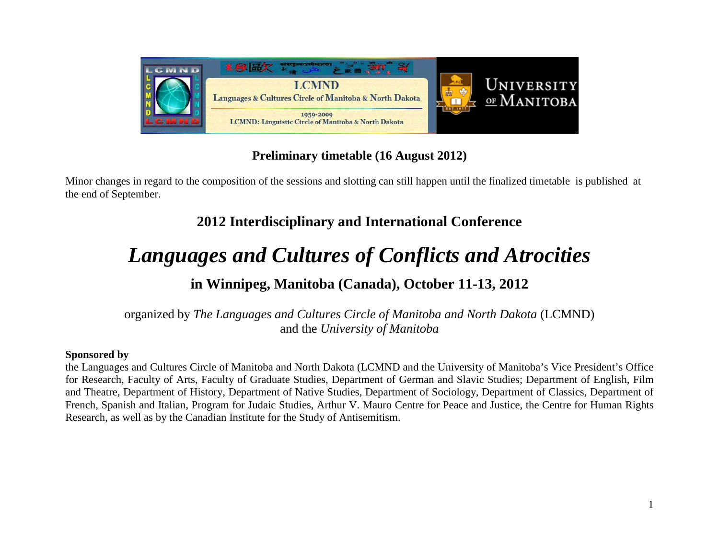

# **Preliminary timetable (16 August 2012)**

Minor changes in regard to the composition of the sessions and slotting can still happen until the finalized timetable is published at the end of September.

# **2012 Interdisciplinary and International Conference**

# *Languages and Cultures of Conflicts and Atrocities*

# **in Winnipeg, Manitoba (Canada), October 11-13, 2012**

organized by *The Languages and Cultures Circle of Manitoba and North Dakota* (LCMND) and the *University of Manitoba*

#### **Sponsored by**

the Languages and Cultures Circle of Manitoba and North Dakota (LCMND and the University of Manitoba's Vice President's Office for Research, Faculty of Arts, Faculty of Graduate Studies, Department of German and Slavic Studies; Department of English, Film and Theatre, Department of History, Department of Native Studies, Department of Sociology, Department of Classics, Department of French, Spanish and Italian, Program for Judaic Studies, Arthur V. Mauro Centre for Peace and Justice, the Centre for Human Rights Research, as well as by the Canadian Institute for the Study of Antisemitism.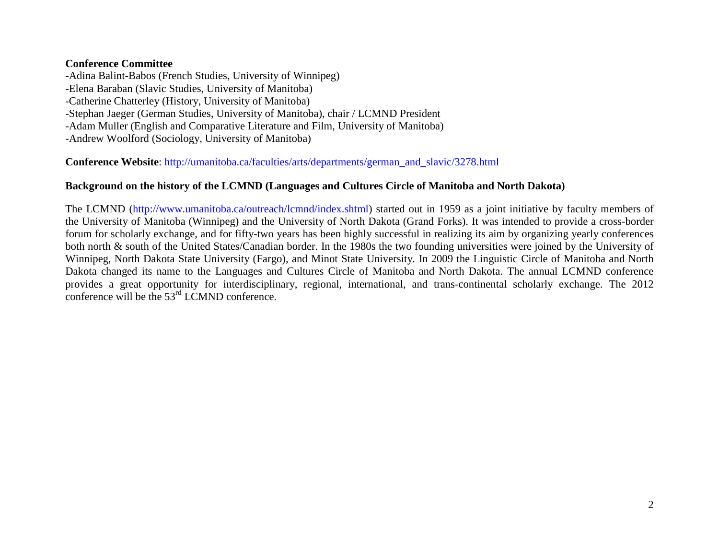#### **Conference Committee**

-Adina Balint-Babos (French Studies, University of Winnipeg) -Elena Baraban (Slavic Studies, University of Manitoba) -Catherine Chatterley (History, University of Manitoba) -Stephan Jaeger (German Studies, University of Manitoba), chair / LCMND President -Adam Muller (English and Comparative Literature and Film, University of Manitoba) -Andrew Woolford (Sociology, University of Manitoba)

**Conference Website**: [http://umanitoba.ca/faculties/arts/departments/german\\_and\\_slavic/3278.html](http://umanitoba.ca/faculties/arts/departments/german_and_slavic/3278.html)

#### **Background on the history of the LCMND (Languages and Cultures Circle of Manitoba and North Dakota)**

The LCMND [\(http://www.umanitoba.ca/outreach/lcmnd/index.shtml\)](http://www.umanitoba.ca/outreach/lcmnd/index.shtml) started out in 1959 as a joint initiative by faculty members of the University of Manitoba (Winnipeg) and the University of North Dakota (Grand Forks). It was intended to provide a cross-border forum for scholarly exchange, and for fifty-two years has been highly successful in realizing its aim by organizing yearly conferences both north & south of the United States/Canadian border. In the 1980s the two founding universities were joined by the University of Winnipeg, North Dakota State University (Fargo), and Minot State University. In 2009 the Linguistic Circle of Manitoba and North Dakota changed its name to the Languages and Cultures Circle of Manitoba and North Dakota. The annual LCMND conference provides a great opportunity for interdisciplinary, regional, international, and trans-continental scholarly exchange. The 2012 conference will be the 53rd LCMND conference.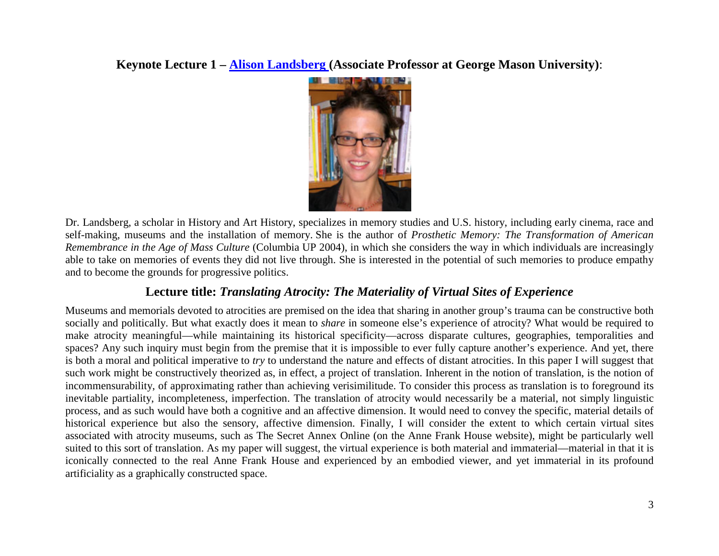**Keynote Lecture 1 – [Alison Landsberg \(](http://historyarthistory.gmu.edu/people/alandsb1)Associate Professor at George Mason University)**:



Dr. Landsberg, a scholar in History and Art History, specializes in memory studies and U.S. history, including early cinema, race and self-making, museums and the installation of memory. She is the author of *Prosthetic Memory: The Transformation of American Remembrance in the Age of Mass Culture* (Columbia UP 2004), in which she considers the way in which individuals are increasingly able to take on memories of events they did not live through. She is interested in the potential of such memories to produce empathy and to become the grounds for progressive politics.

## **Lecture title:** *Translating Atrocity: The Materiality of Virtual Sites of Experience*

Museums and memorials devoted to atrocities are premised on the idea that sharing in another group's trauma can be constructive both socially and politically. But what exactly does it mean to *share* in someone else's experience of atrocity? What would be required to make atrocity meaningful—while maintaining its historical specificity—across disparate cultures, geographies, temporalities and spaces? Any such inquiry must begin from the premise that it is impossible to ever fully capture another's experience. And yet, there is both a moral and political imperative to *try* to understand the nature and effects of distant atrocities. In this paper I will suggest that such work might be constructively theorized as, in effect, a project of translation. Inherent in the notion of translation, is the notion of incommensurability, of approximating rather than achieving verisimilitude. To consider this process as translation is to foreground its inevitable partiality, incompleteness, imperfection. The translation of atrocity would necessarily be a material, not simply linguistic process, and as such would have both a cognitive and an affective dimension. It would need to convey the specific, material details of historical experience but also the sensory, affective dimension. Finally, I will consider the extent to which certain virtual sites associated with atrocity museums, such as The Secret Annex Online (on the Anne Frank House website), might be particularly well suited to this sort of translation. As my paper will suggest, the virtual experience is both material and immaterial—material in that it is iconically connected to the real Anne Frank House and experienced by an embodied viewer, and yet immaterial in its profound artificiality as a graphically constructed space.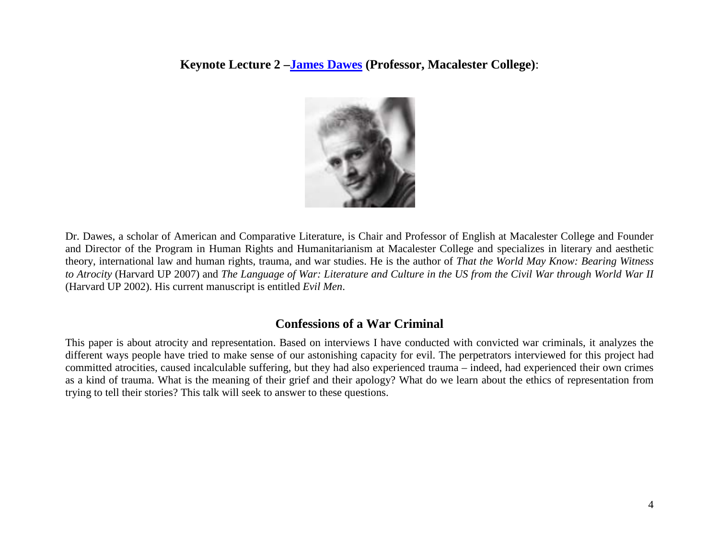**Keynote Lecture 2 [–James Dawes](http://www.macalester.edu/english/facultystaff/jamesdawes/) (Professor, Macalester College)**:



Dr. Dawes, a scholar of American and Comparative Literature, is Chair and Professor of English at Macalester College and Founder and Director of the Program in Human Rights and Humanitarianism at Macalester College and specializes in literary and aesthetic theory, international law and human rights, trauma, and war studies. He is the author of *That the World May Know: Bearing Witness to Atrocity* (Harvard UP 2007) and *The Language of War: Literature and Culture in the US from the Civil War through World War II* (Harvard UP 2002). His current manuscript is entitled *Evil Men*.

#### **Confessions of a War Criminal**

This paper is about atrocity and representation. Based on interviews I have conducted with convicted war criminals, it analyzes the different ways people have tried to make sense of our astonishing capacity for evil. The perpetrators interviewed for this project had committed atrocities, caused incalculable suffering, but they had also experienced trauma – indeed, had experienced their own crimes as a kind of trauma. What is the meaning of their grief and their apology? What do we learn about the ethics of representation from trying to tell their stories? This talk will seek to answer to these questions.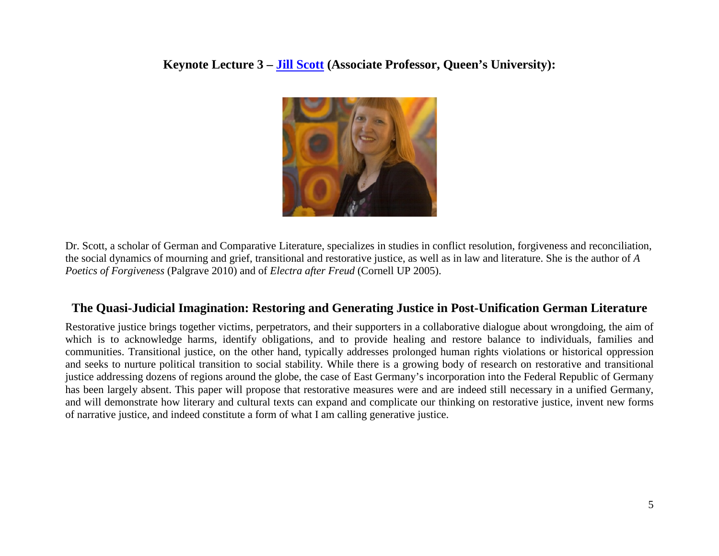**Keynote Lecture 3 – [Jill Scott](http://www.queensu.ca/german/department/facultyandstaff/scott.html) (Associate Professor, Queen's University):**



Dr. Scott, a scholar of German and Comparative Literature, specializes in studies in conflict resolution, forgiveness and reconciliation, the social dynamics of mourning and grief, transitional and restorative justice, as well as in law and literature. She is the author of *A Poetics of Forgiveness* (Palgrave 2010) and of *Electra after Freud* (Cornell UP 2005).

## **The Quasi-Judicial Imagination: Restoring and Generating Justice in Post-Unification German Literature**

Restorative justice brings together victims, perpetrators, and their supporters in a collaborative dialogue about wrongdoing, the aim of which is to acknowledge harms, identify obligations, and to provide healing and restore balance to individuals, families and communities. Transitional justice, on the other hand, typically addresses prolonged human rights violations or historical oppression and seeks to nurture political transition to social stability. While there is a growing body of research on restorative and transitional justice addressing dozens of regions around the globe, the case of East Germany's incorporation into the Federal Republic of Germany has been largely absent. This paper will propose that restorative measures were and are indeed still necessary in a unified Germany, and will demonstrate how literary and cultural texts can expand and complicate our thinking on restorative justice, invent new forms of narrative justice, and indeed constitute a form of what I am calling generative justice.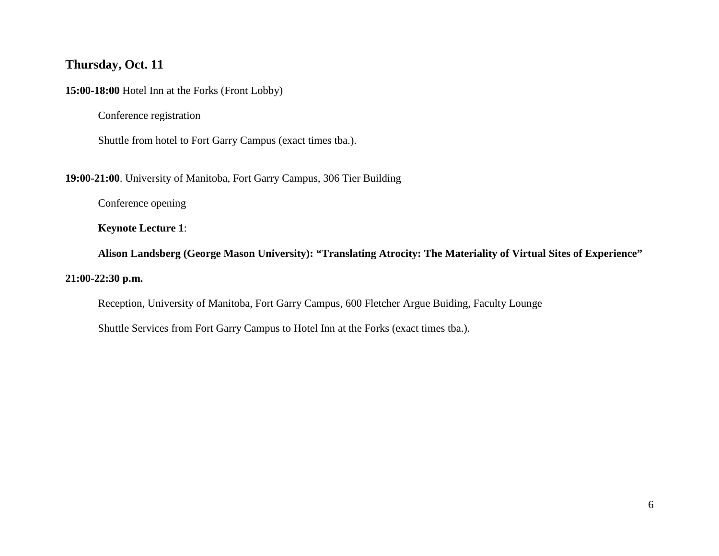### **Thursday, Oct. 11**

**15:00-18:00** Hotel Inn at the Forks (Front Lobby)

Conference registration

Shuttle from hotel to Fort Garry Campus (exact times tba.).

**19:00-21:00**. University of Manitoba, Fort Garry Campus, 306 Tier Building

Conference opening

**Keynote Lecture 1**:

**Alison Landsberg (George Mason University): "Translating Atrocity: The Materiality of Virtual Sites of Experience"**

#### **21:00-22:30 p.m.**

Reception, University of Manitoba, Fort Garry Campus, 600 Fletcher Argue Buiding, Faculty Lounge

Shuttle Services from Fort Garry Campus to Hotel Inn at the Forks (exact times tba.).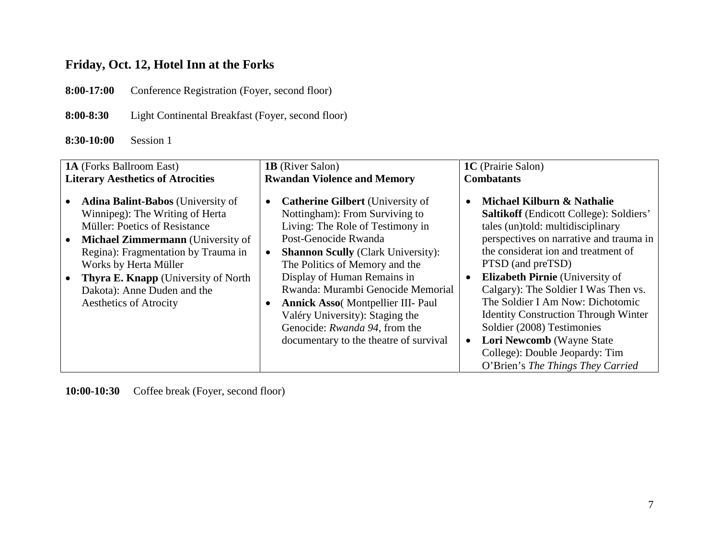# **Friday, Oct. 12, Hotel Inn at the Forks**

**8:00-17:00** Conference Registration (Foyer, second floor)

**8:00-8:30** Light Continental Breakfast (Foyer, second floor)

**8:30-10:00** Session 1

| <b>1A</b> (Forks Ballroom East)                                                                                                                                                                                                                                                                                                  | <b>1B</b> (River Salon)                                                                                                                                                                                                                                                                                                                                                                                                                             | <b>1C</b> (Prairie Salon)                                                                                                                                                                                                                                                                                                                                                                                                                                                                                                       |
|----------------------------------------------------------------------------------------------------------------------------------------------------------------------------------------------------------------------------------------------------------------------------------------------------------------------------------|-----------------------------------------------------------------------------------------------------------------------------------------------------------------------------------------------------------------------------------------------------------------------------------------------------------------------------------------------------------------------------------------------------------------------------------------------------|---------------------------------------------------------------------------------------------------------------------------------------------------------------------------------------------------------------------------------------------------------------------------------------------------------------------------------------------------------------------------------------------------------------------------------------------------------------------------------------------------------------------------------|
| <b>Literary Aesthetics of Atrocities</b>                                                                                                                                                                                                                                                                                         | <b>Rwandan Violence and Memory</b>                                                                                                                                                                                                                                                                                                                                                                                                                  | <b>Combatants</b>                                                                                                                                                                                                                                                                                                                                                                                                                                                                                                               |
| <b>Adina Balint-Babos</b> (University of<br>Winnipeg): The Writing of Herta<br>Müller: Poetics of Resistance<br><b>Michael Zimmermann</b> (University of<br>Regina): Fragmentation by Trauma in<br>Works by Herta Müller<br><b>Thyra E. Knapp</b> (University of North)<br>Dakota): Anne Duden and the<br>Aesthetics of Atrocity | <b>Catherine Gilbert</b> (University of<br>Nottingham): From Surviving to<br>Living: The Role of Testimony in<br>Post-Genocide Rwanda<br><b>Shannon Scully (Clark University):</b><br>The Politics of Memory and the<br>Display of Human Remains in<br>Rwanda: Murambi Genocide Memorial<br><b>Annick Asso</b> (Montpellier III- Paul<br>Valéry University): Staging the<br>Genocide: Rwanda 94, from the<br>documentary to the theatre of survival | Michael Kilburn & Nathalie<br><b>Saltikoff</b> (Endicott College): Soldiers'<br>tales (un)told: multidisciplinary<br>perspectives on narrative and trauma in<br>the considerat ion and treatment of<br>PTSD (and preTSD)<br><b>Elizabeth Pirnie</b> (University of<br>Calgary): The Soldier I Was Then vs.<br>The Soldier I Am Now: Dichotomic<br><b>Identity Construction Through Winter</b><br>Soldier (2008) Testimonies<br>Lori Newcomb (Wayne State<br>College): Double Jeopardy: Tim<br>O'Brien's The Things They Carried |

**10:00-10:30** Coffee break (Foyer, second floor)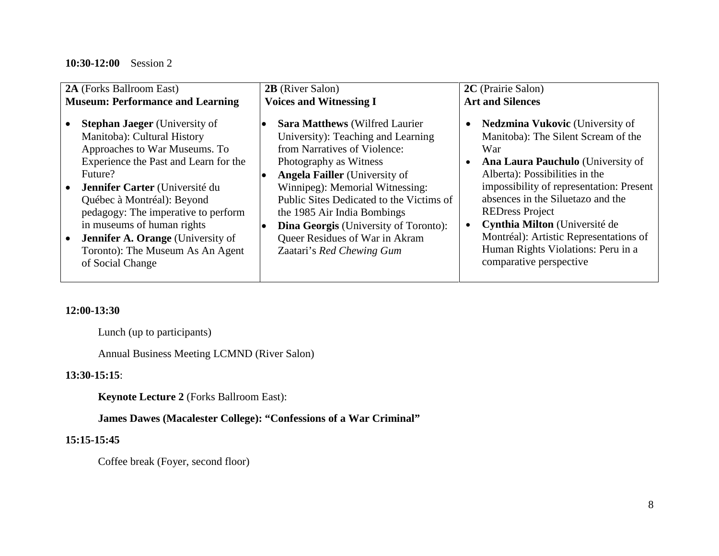#### **10:30-12:00** Session 2

| <b>2A</b> (Forks Ballroom East)                                                                                                                                                                                                                                                                                                                                                                   | <b>2B</b> (River Salon)                                                                                                                                                                                                                                                                                                                                                                                     | 2C (Prairie Salon)                                                                                                                                                                                                                                                                                                                                                                                                                     |
|---------------------------------------------------------------------------------------------------------------------------------------------------------------------------------------------------------------------------------------------------------------------------------------------------------------------------------------------------------------------------------------------------|-------------------------------------------------------------------------------------------------------------------------------------------------------------------------------------------------------------------------------------------------------------------------------------------------------------------------------------------------------------------------------------------------------------|----------------------------------------------------------------------------------------------------------------------------------------------------------------------------------------------------------------------------------------------------------------------------------------------------------------------------------------------------------------------------------------------------------------------------------------|
| <b>Museum: Performance and Learning</b>                                                                                                                                                                                                                                                                                                                                                           | <b>Voices and Witnessing I</b>                                                                                                                                                                                                                                                                                                                                                                              | <b>Art and Silences</b>                                                                                                                                                                                                                                                                                                                                                                                                                |
| <b>Stephan Jaeger</b> (University of<br>Manitoba): Cultural History<br>Approaches to War Museums. To<br>Experience the Past and Learn for the<br>Future?<br>Jennifer Carter (Université du<br>Québec à Montréal): Beyond<br>pedagogy: The imperative to perform<br>in museums of human rights<br><b>Jennifer A. Orange</b> (University of<br>Toronto): The Museum As An Agent<br>of Social Change | <b>Sara Matthews (Wilfred Laurier)</b><br>University): Teaching and Learning<br>from Narratives of Violence:<br>Photography as Witness<br><b>Angela Failler</b> (University of<br>Winnipeg): Memorial Witnessing:<br>Public Sites Dedicated to the Victims of<br>the 1985 Air India Bombings<br><b>Dina Georgis</b> (University of Toronto):<br>Queer Residues of War in Akram<br>Zaatari's Red Chewing Gum | <b>Nedzmina Vukovic</b> (University of<br>$\bullet$<br>Manitoba): The Silent Scream of the<br>War<br><b>Ana Laura Pauchulo</b> (University of<br>Alberta): Possibilities in the<br>impossibility of representation: Present<br>absences in the Siluetazo and the<br><b>REDress Project</b><br>Cynthia Milton (Université de<br>Montréal): Artistic Representations of<br>Human Rights Violations: Peru in a<br>comparative perspective |

#### **12:00-13:30**

Lunch (up to participants)

Annual Business Meeting LCMND (River Salon)

#### **13:30-15:15**:

**Keynote Lecture 2** (Forks Ballroom East):

**James Dawes (Macalester College): "Confessions of a War Criminal"**

#### **15:15-15:45**

Coffee break (Foyer, second floor)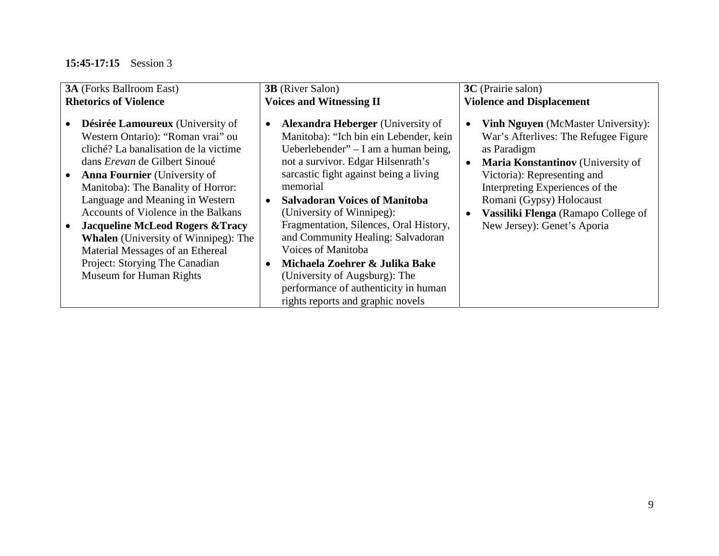## **15:45-17:15** Session 3

| <b>3A</b> (Forks Ballroom East)                                                                                                                                                                                                                                                                                                                                                                                                                                                                                     | <b>3B</b> (River Salon)                                                                                                                                                                                                                                                                                                                                                                                                                                                                                                                            | 3C (Prairie salon)                                                                                                                                                                                                                                                                                                     |
|---------------------------------------------------------------------------------------------------------------------------------------------------------------------------------------------------------------------------------------------------------------------------------------------------------------------------------------------------------------------------------------------------------------------------------------------------------------------------------------------------------------------|----------------------------------------------------------------------------------------------------------------------------------------------------------------------------------------------------------------------------------------------------------------------------------------------------------------------------------------------------------------------------------------------------------------------------------------------------------------------------------------------------------------------------------------------------|------------------------------------------------------------------------------------------------------------------------------------------------------------------------------------------------------------------------------------------------------------------------------------------------------------------------|
| <b>Rhetorics of Violence</b>                                                                                                                                                                                                                                                                                                                                                                                                                                                                                        | <b>Voices and Witnessing II</b>                                                                                                                                                                                                                                                                                                                                                                                                                                                                                                                    | <b>Violence and Displacement</b>                                                                                                                                                                                                                                                                                       |
| Désirée Lamoureux (University of<br>Western Ontario): "Roman vrai" ou<br>cliché? La banalisation de la victime<br>dans <i>Erevan</i> de Gilbert Sinoué<br><b>Anna Fournier</b> (University of<br>Manitoba): The Banality of Horror:<br>Language and Meaning in Western<br>Accounts of Violence in the Balkans<br><b>Jacqueline McLeod Rogers &amp; Tracy</b><br><b>Whalen</b> (University of Winnipeg): The<br>Material Messages of an Ethereal<br>Project: Storying The Canadian<br><b>Museum for Human Rights</b> | <b>Alexandra Heberger</b> (University of<br>Manitoba): "Ich bin ein Lebender, kein<br>Ueberlebender" $- I$ am a human being,<br>not a survivor. Edgar Hilsenrath's<br>sarcastic fight against being a living<br>memorial<br><b>Salvadoran Voices of Manitoba</b><br>(University of Winnipeg):<br>Fragmentation, Silences, Oral History,<br>and Community Healing: Salvadoran<br>Voices of Manitoba<br>Michaela Zoehrer & Julika Bake<br>(University of Augsburg): The<br>performance of authenticity in human<br>rights reports and graphic novels | <b>Vinh Nguyen</b> (McMaster University):<br>$\bullet$<br>War's Afterlives: The Refugee Figure<br>as Paradigm<br>Maria Konstantinov (University of<br>Victoria): Representing and<br>Interpreting Experiences of the<br>Romani (Gypsy) Holocaust<br>Vassiliki Flenga (Ramapo College of<br>New Jersey): Genet's Aporia |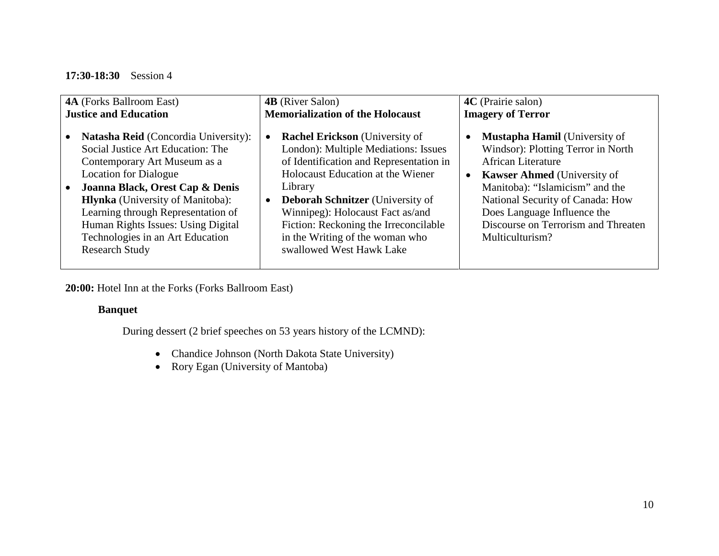#### **17:30-18:30** Session 4

| <b>4A</b> (Forks Ballroom East)                                                                                                                                                                                                                                                                                                                                         | <b>4B</b> (River Salon)                                                                                                                                                                                                                                                                                                                                                                   | 4C (Prairie salon)                                                                                                                                                                                                                                                                                                         |
|-------------------------------------------------------------------------------------------------------------------------------------------------------------------------------------------------------------------------------------------------------------------------------------------------------------------------------------------------------------------------|-------------------------------------------------------------------------------------------------------------------------------------------------------------------------------------------------------------------------------------------------------------------------------------------------------------------------------------------------------------------------------------------|----------------------------------------------------------------------------------------------------------------------------------------------------------------------------------------------------------------------------------------------------------------------------------------------------------------------------|
| <b>Justice and Education</b>                                                                                                                                                                                                                                                                                                                                            | <b>Memorialization of the Holocaust</b>                                                                                                                                                                                                                                                                                                                                                   | <b>Imagery of Terror</b>                                                                                                                                                                                                                                                                                                   |
| <b>Natasha Reid</b> (Concordia University):<br>Social Justice Art Education: The<br>Contemporary Art Museum as a<br><b>Location for Dialogue</b><br>Joanna Black, Orest Cap & Denis<br><b>Hlynka</b> (University of Manitoba):<br>Learning through Representation of<br>Human Rights Issues: Using Digital<br>Technologies in an Art Education<br><b>Research Study</b> | <b>Rachel Erickson</b> (University of<br>$\bullet$<br>London): Multiple Mediations: Issues<br>of Identification and Representation in<br>Holocaust Education at the Wiener<br>Library<br><b>Deborah Schnitzer</b> (University of<br>$\bullet$<br>Winnipeg): Holocaust Fact as/and<br>Fiction: Reckoning the Irreconcilable<br>in the Writing of the woman who<br>swallowed West Hawk Lake | <b>Mustapha Hamil</b> (University of<br>Windsor): Plotting Terror in North<br><b>African Literature</b><br><b>Kawser Ahmed</b> (University of<br>$\bullet$<br>Manitoba): "Islamicism" and the<br>National Security of Canada: How<br>Does Language Influence the<br>Discourse on Terrorism and Threaten<br>Multiculturism? |

**20:00:** Hotel Inn at the Forks (Forks Ballroom East)

#### **Banquet**

During dessert (2 brief speeches on 53 years history of the LCMND):

- Chandice Johnson (North Dakota State University)
- Rory Egan (University of Mantoba)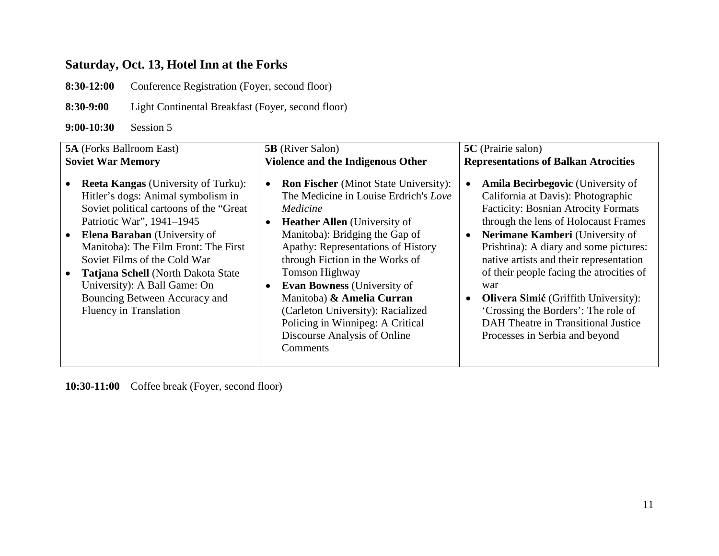# **Saturday, Oct. 13, Hotel Inn at the Forks**

**8:30-12:00** Conference Registration (Foyer, second floor)

**8:30-9:00** Light Continental Breakfast (Foyer, second floor)

**9:00-10:30** Session 5

| <b>5A</b> (Forks Ballroom East)                                                                                                                                                                                                                                                                                                                                                                                 | <b>5B</b> (River Salon)                                                                                                                                                                                                                                                                                                                                                                                                                                                                        | 5C (Prairie salon)                                                                                                                                                                                                                                                                                                                                                                                                                                                                                             |
|-----------------------------------------------------------------------------------------------------------------------------------------------------------------------------------------------------------------------------------------------------------------------------------------------------------------------------------------------------------------------------------------------------------------|------------------------------------------------------------------------------------------------------------------------------------------------------------------------------------------------------------------------------------------------------------------------------------------------------------------------------------------------------------------------------------------------------------------------------------------------------------------------------------------------|----------------------------------------------------------------------------------------------------------------------------------------------------------------------------------------------------------------------------------------------------------------------------------------------------------------------------------------------------------------------------------------------------------------------------------------------------------------------------------------------------------------|
| <b>Soviet War Memory</b>                                                                                                                                                                                                                                                                                                                                                                                        | Violence and the Indigenous Other                                                                                                                                                                                                                                                                                                                                                                                                                                                              | <b>Representations of Balkan Atrocities</b>                                                                                                                                                                                                                                                                                                                                                                                                                                                                    |
| <b>Reeta Kangas</b> (University of Turku):<br>Hitler's dogs: Animal symbolism in<br>Soviet political cartoons of the "Great<br>Patriotic War", 1941-1945<br><b>Elena Baraban</b> (University of<br>Manitoba): The Film Front: The First<br>Soviet Films of the Cold War<br>Tatjana Schell (North Dakota State<br>University): A Ball Game: On<br>Bouncing Between Accuracy and<br><b>Fluency in Translation</b> | <b>Ron Fischer</b> (Minot State University):<br>$\bullet$<br>The Medicine in Louise Erdrich's Love<br>Medicine<br><b>Heather Allen</b> (University of<br>Manitoba): Bridging the Gap of<br>Apathy: Representations of History<br>through Fiction in the Works of<br><b>Tomson Highway</b><br><b>Evan Bowness</b> (University of<br>$\bullet$<br>Manitoba) & Amelia Curran<br>(Carleton University): Racialized<br>Policing in Winnipeg: A Critical<br>Discourse Analysis of Online<br>Comments | <b>Amila Becirbegovic</b> (University of<br>California at Davis): Photographic<br><b>Facticity: Bosnian Atrocity Formats</b><br>through the lens of Holocaust Frames<br>Nerimane Kamberi (University of<br>Prishtina): A diary and some pictures:<br>native artists and their representation<br>of their people facing the atrocities of<br>war<br><b>Olivera Simić</b> (Griffith University):<br>'Crossing the Borders': The role of<br>DAH Theatre in Transitional Justice<br>Processes in Serbia and beyond |

**10:30-11:00** Coffee break (Foyer, second floor)